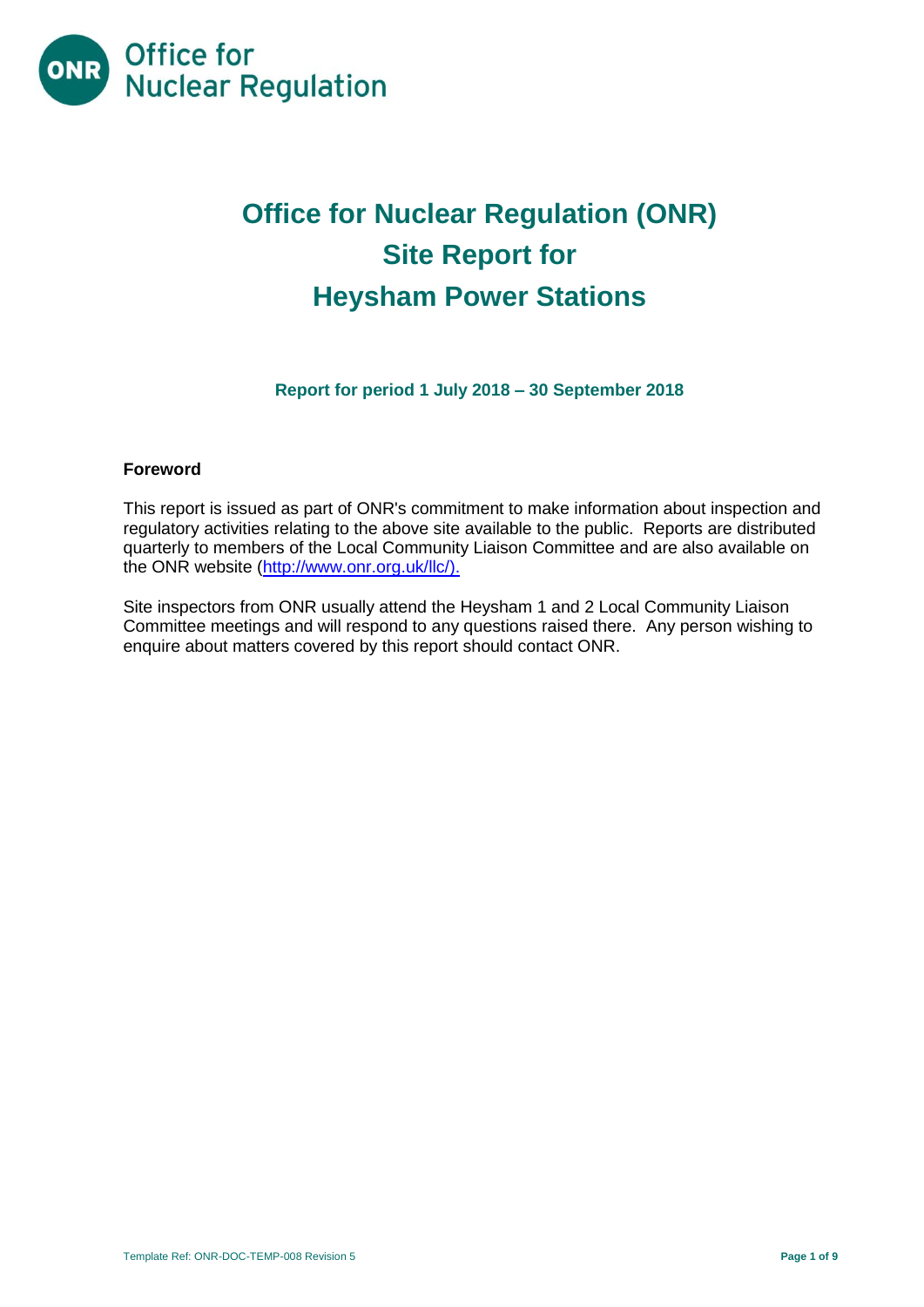

# **Office for Nuclear Regulation (ONR) Site Report for Heysham Power Stations**

**Report for period 1 July 2018 – 30 September 2018**

#### **Foreword**

This report is issued as part of ONR's commitment to make information about inspection and regulatory activities relating to the above site available to the public. Reports are distributed quarterly to members of the Local Community Liaison Committee and are also available on the ONR website [\(http://www.onr.org.uk/llc/\)](http://www.onr.org.uk/llc/).

Site inspectors from ONR usually attend the Heysham 1 and 2 Local Community Liaison Committee meetings and will respond to any questions raised there. Any person wishing to enquire about matters covered by this report should contact ONR.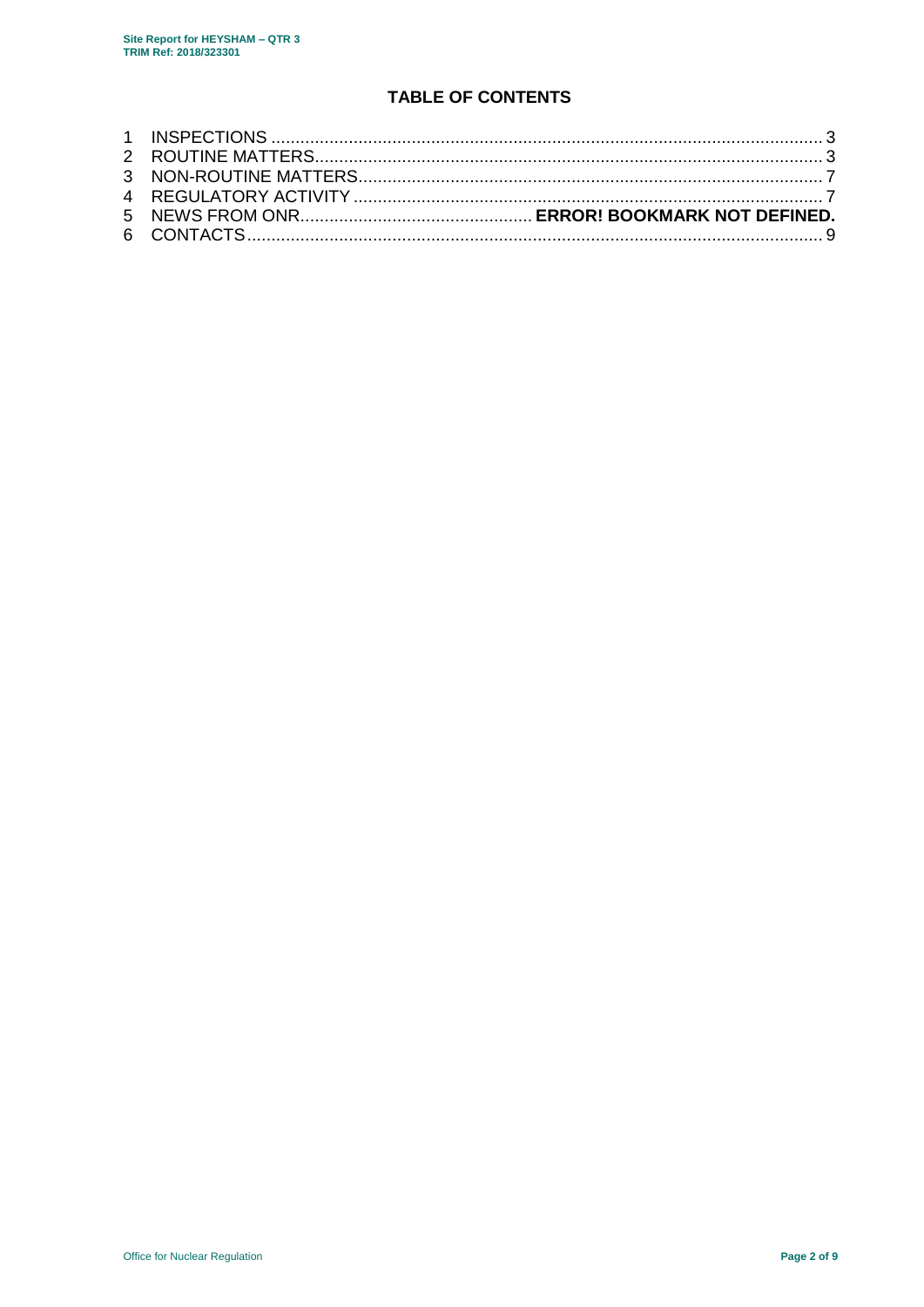# **TABLE OF CONTENTS**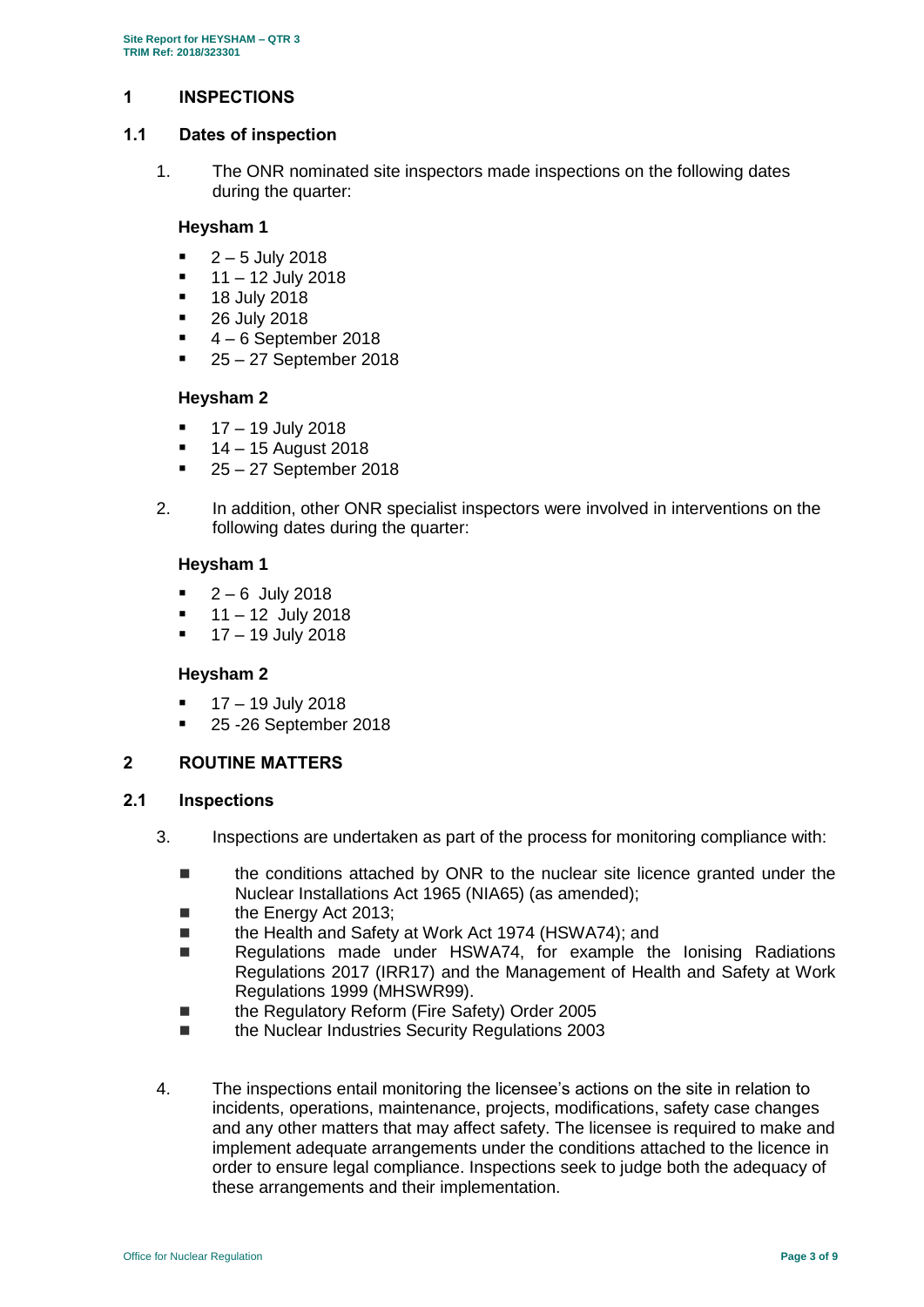# <span id="page-2-0"></span>**1 INSPECTIONS**

#### **1.1 Dates of inspection**

1. The ONR nominated site inspectors made inspections on the following dates during the quarter:

#### **Heysham 1**

- 2 5 July 2018
- 11 12 July 2018
- 18 July 2018
- 26 July 2018
- 4 6 September 2018
- 25 27 September 2018

# **Heysham 2**

- $17 19$  July 2018
- 14 15 August 2018
- 25 27 September 2018
- 2. In addition, other ONR specialist inspectors were involved in interventions on the following dates during the quarter:

# **Heysham 1**

- $-2 6$  July 2018
- $11 12$  July 2018
- $17 19$  July 2018

# **Heysham 2**

- $17 19$  July 2018
- 25 -26 September 2018

# <span id="page-2-1"></span>**2 ROUTINE MATTERS**

# **2.1 Inspections**

- 3. Inspections are undertaken as part of the process for monitoring compliance with:
	- the conditions attached by ONR to the nuclear site licence granted under the Nuclear Installations Act 1965 (NIA65) (as amended);
	- the Energy Act 2013;
	- the Health and Safety at Work Act 1974 (HSWA74): and
	- Regulations made under HSWA74, for example the Ionising Radiations Regulations 2017 (IRR17) and the Management of Health and Safety at Work Regulations 1999 (MHSWR99).
	- the Regulatory Reform (Fire Safety) Order 2005
	- the Nuclear Industries Security Regulations 2003
- 4. The inspections entail monitoring the licensee's actions on the site in relation to incidents, operations, maintenance, projects, modifications, safety case changes and any other matters that may affect safety. The licensee is required to make and implement adequate arrangements under the conditions attached to the licence in order to ensure legal compliance. Inspections seek to judge both the adequacy of these arrangements and their implementation.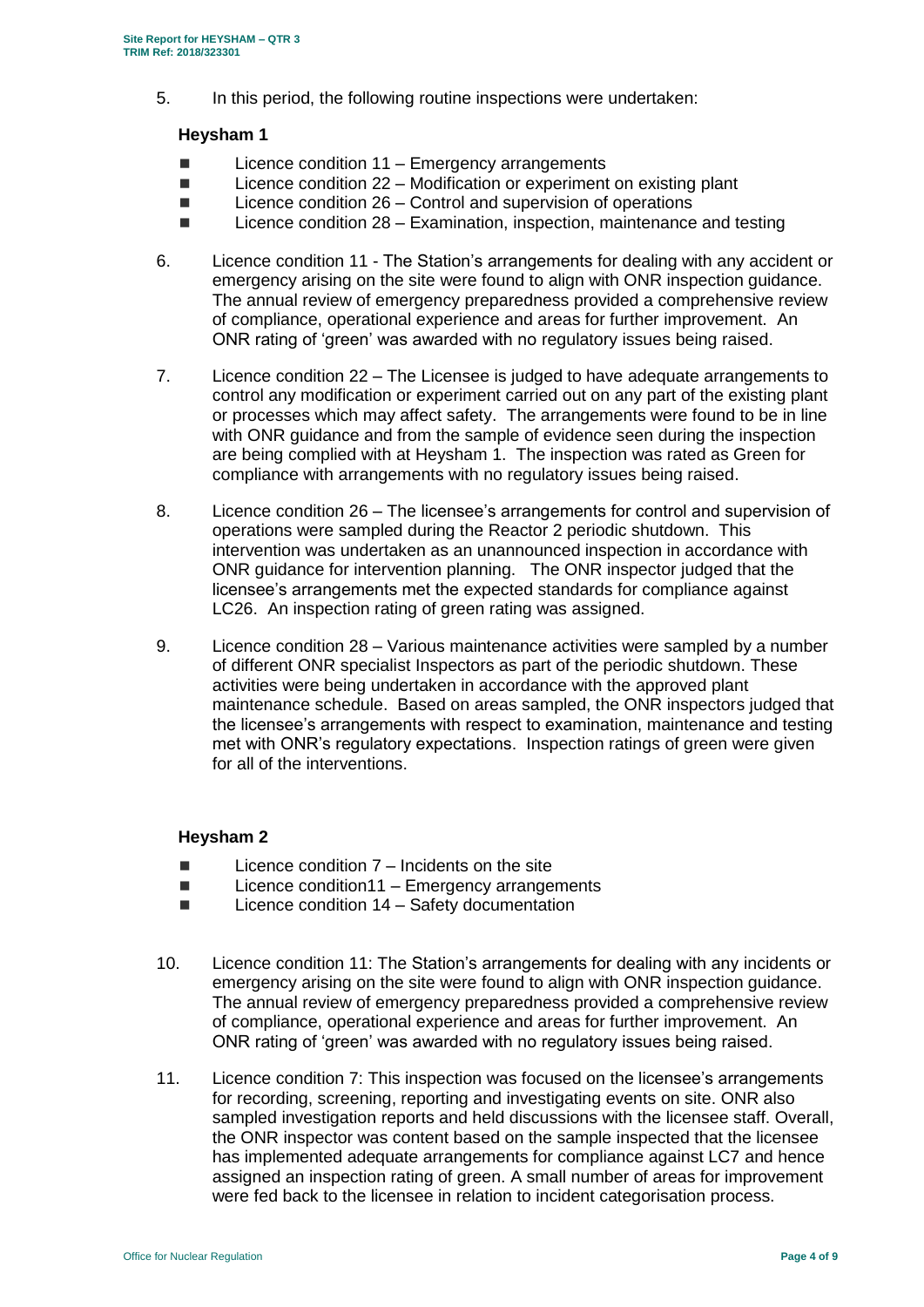5. In this period, the following routine inspections were undertaken:

#### **Heysham 1**

- $\blacksquare$  Licence condition 11 Emergency arrangements
- Licence condition 22 Modification or experiment on existing plant
- $\blacksquare$  Licence condition 26 Control and supervision of operations
- $\blacksquare$  Licence condition 28 Examination, inspection, maintenance and testing
- 6. Licence condition 11 The Station's arrangements for dealing with any accident or emergency arising on the site were found to align with ONR inspection guidance. The annual review of emergency preparedness provided a comprehensive review of compliance, operational experience and areas for further improvement. An ONR rating of 'green' was awarded with no regulatory issues being raised.
- 7. Licence condition 22 The Licensee is judged to have adequate arrangements to control any modification or experiment carried out on any part of the existing plant or processes which may affect safety. The arrangements were found to be in line with ONR guidance and from the sample of evidence seen during the inspection are being complied with at Heysham 1. The inspection was rated as Green for compliance with arrangements with no regulatory issues being raised.
- 8. Licence condition 26 The licensee's arrangements for control and supervision of operations were sampled during the Reactor 2 periodic shutdown. This intervention was undertaken as an unannounced inspection in accordance with ONR guidance for intervention planning. The ONR inspector judged that the licensee's arrangements met the expected standards for compliance against LC26. An inspection rating of green rating was assigned.
- 9. Licence condition 28 Various maintenance activities were sampled by a number of different ONR specialist Inspectors as part of the periodic shutdown. These activities were being undertaken in accordance with the approved plant maintenance schedule. Based on areas sampled, the ONR inspectors judged that the licensee's arrangements with respect to examination, maintenance and testing met with ONR's regulatory expectations. Inspection ratings of green were given for all of the interventions.

# **Heysham 2**

- $\blacksquare$  Licence condition  $7$  Incidents on the site
- $\blacksquare$  Licence condition11 Emergency arrangements
- $\blacksquare$  Licence condition 14 Safety documentation
- 10. Licence condition 11: The Station's arrangements for dealing with any incidents or emergency arising on the site were found to align with ONR inspection guidance. The annual review of emergency preparedness provided a comprehensive review of compliance, operational experience and areas for further improvement. An ONR rating of 'green' was awarded with no regulatory issues being raised.
- 11. Licence condition 7: This inspection was focused on the licensee's arrangements for recording, screening, reporting and investigating events on site. ONR also sampled investigation reports and held discussions with the licensee staff. Overall, the ONR inspector was content based on the sample inspected that the licensee has implemented adequate arrangements for compliance against LC7 and hence assigned an inspection rating of green. A small number of areas for improvement were fed back to the licensee in relation to incident categorisation process.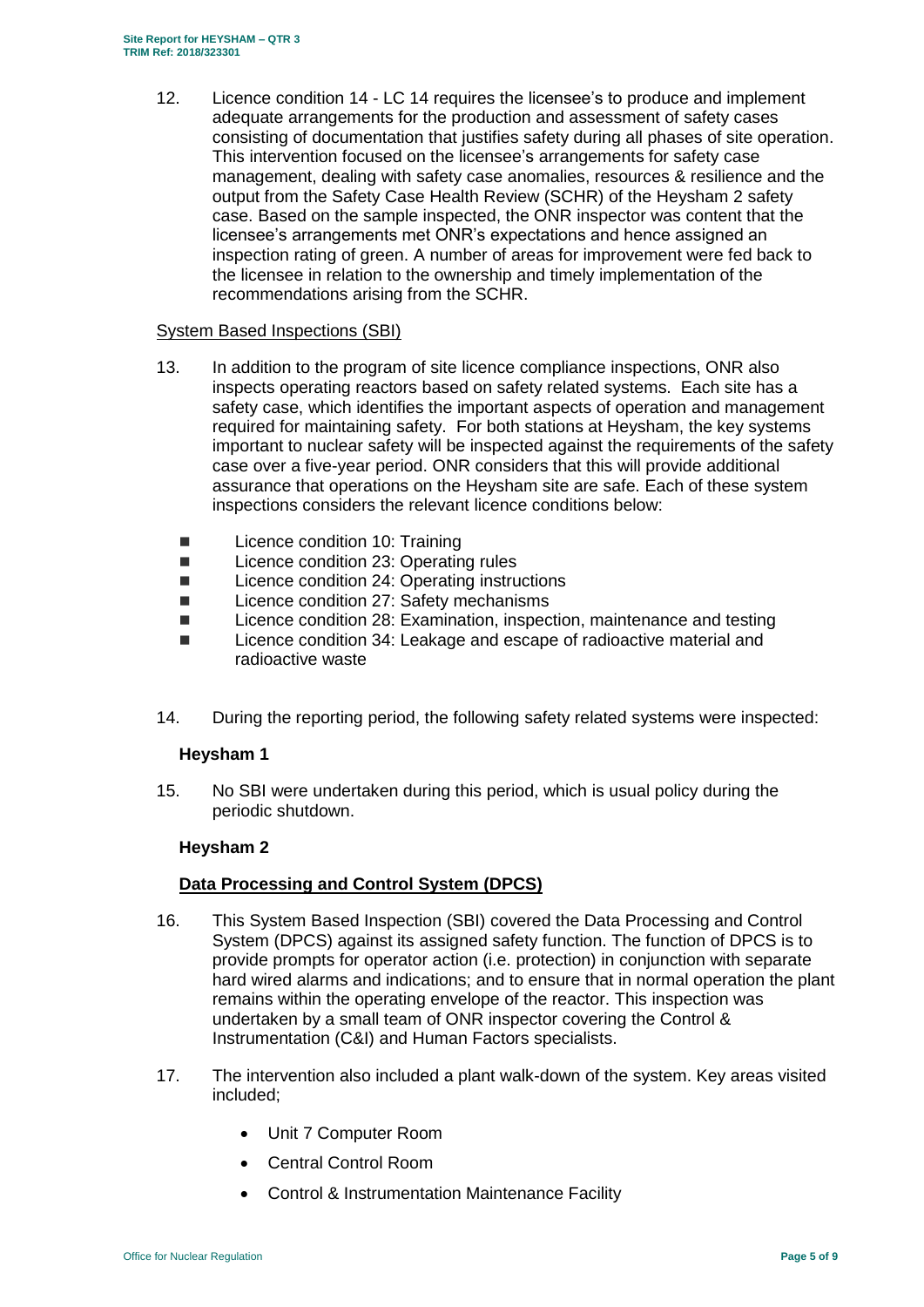12. Licence condition 14 - LC 14 requires the licensee's to produce and implement adequate arrangements for the production and assessment of safety cases consisting of documentation that justifies safety during all phases of site operation. This intervention focused on the licensee's arrangements for safety case management, dealing with safety case anomalies, resources & resilience and the output from the Safety Case Health Review (SCHR) of the Heysham 2 safety case. Based on the sample inspected, the ONR inspector was content that the licensee's arrangements met ONR's expectations and hence assigned an inspection rating of green. A number of areas for improvement were fed back to the licensee in relation to the ownership and timely implementation of the recommendations arising from the SCHR.

#### System Based Inspections (SBI)

- 13. In addition to the program of site licence compliance inspections, ONR also inspects operating reactors based on safety related systems. Each site has a safety case, which identifies the important aspects of operation and management required for maintaining safety. For both stations at Heysham, the key systems important to nuclear safety will be inspected against the requirements of the safety case over a five-year period. ONR considers that this will provide additional assurance that operations on the Heysham site are safe. Each of these system inspections considers the relevant licence conditions below:
	- Licence condition 10: Training
	- Licence condition 23: Operating rules
	- Licence condition 24: Operating instructions
	- Licence condition 27: Safety mechanisms
	- Licence condition 28: Examination, inspection, maintenance and testing
	- Licence condition 34: Leakage and escape of radioactive material and radioactive waste
- 14. During the reporting period, the following safety related systems were inspected:

# **Heysham 1**

15. No SBI were undertaken during this period, which is usual policy during the periodic shutdown.

# **Heysham 2**

# **Data Processing and Control System (DPCS)**

- 16. This System Based Inspection (SBI) covered the Data Processing and Control System (DPCS) against its assigned safety function. The function of DPCS is to provide prompts for operator action (i.e. protection) in conjunction with separate hard wired alarms and indications; and to ensure that in normal operation the plant remains within the operating envelope of the reactor. This inspection was undertaken by a small team of ONR inspector covering the Control & Instrumentation (C&I) and Human Factors specialists.
- 17. The intervention also included a plant walk-down of the system. Key areas visited included;
	- Unit 7 Computer Room
	- Central Control Room
	- Control & Instrumentation Maintenance Facility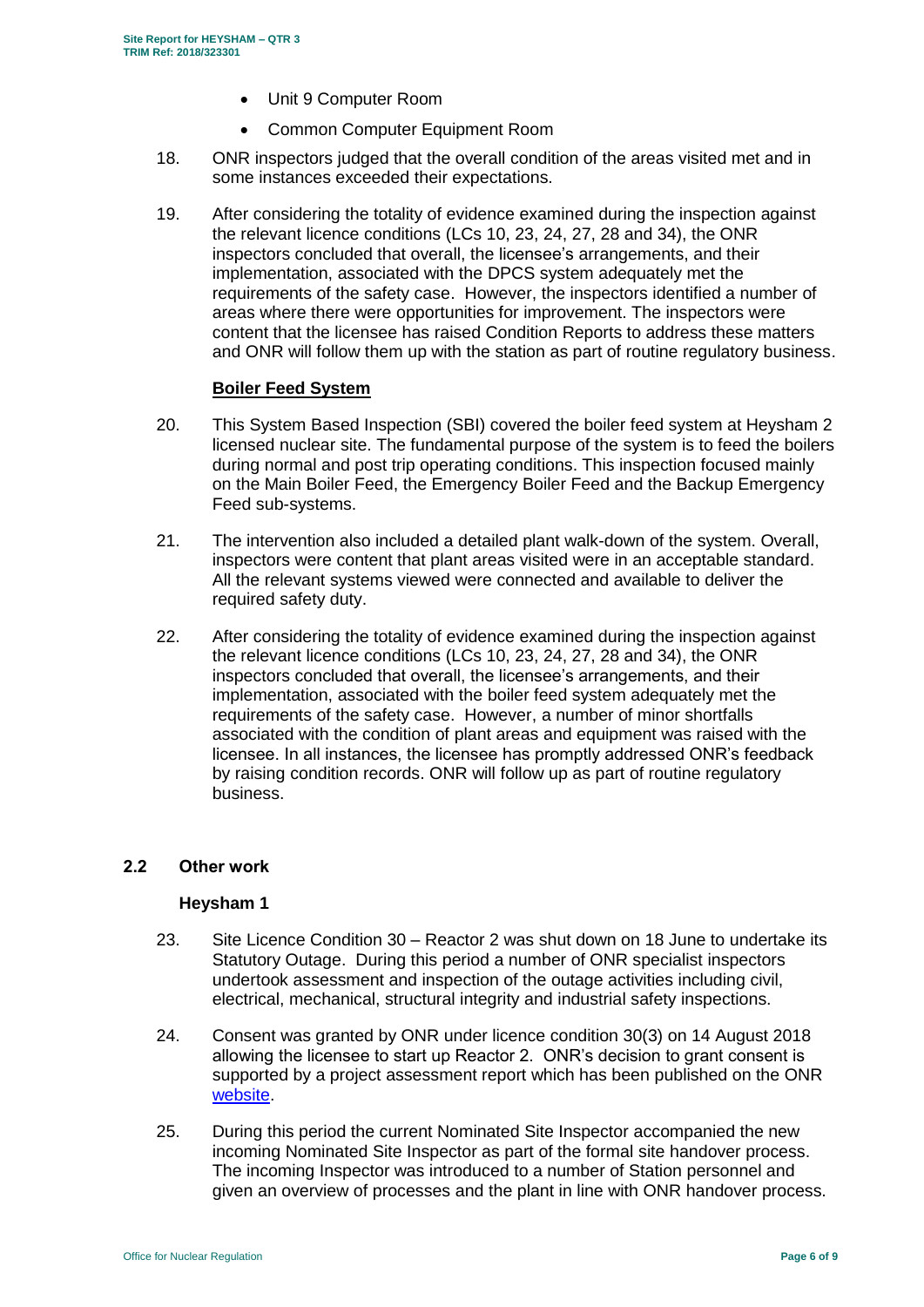- Unit 9 Computer Room
- Common Computer Equipment Room
- 18. ONR inspectors judged that the overall condition of the areas visited met and in some instances exceeded their expectations.
- 19. After considering the totality of evidence examined during the inspection against the relevant licence conditions (LCs 10, 23, 24, 27, 28 and 34), the ONR inspectors concluded that overall, the licensee's arrangements, and their implementation, associated with the DPCS system adequately met the requirements of the safety case. However, the inspectors identified a number of areas where there were opportunities for improvement. The inspectors were content that the licensee has raised Condition Reports to address these matters and ONR will follow them up with the station as part of routine regulatory business.

#### **Boiler Feed System**

- 20. This System Based Inspection (SBI) covered the boiler feed system at Heysham 2 licensed nuclear site. The fundamental purpose of the system is to feed the boilers during normal and post trip operating conditions. This inspection focused mainly on the Main Boiler Feed, the Emergency Boiler Feed and the Backup Emergency Feed sub-systems.
- 21. The intervention also included a detailed plant walk-down of the system. Overall, inspectors were content that plant areas visited were in an acceptable standard. All the relevant systems viewed were connected and available to deliver the required safety duty.
- 22. After considering the totality of evidence examined during the inspection against the relevant licence conditions (LCs 10, 23, 24, 27, 28 and 34), the ONR inspectors concluded that overall, the licensee's arrangements, and their implementation, associated with the boiler feed system adequately met the requirements of the safety case. However, a number of minor shortfalls associated with the condition of plant areas and equipment was raised with the licensee. In all instances, the licensee has promptly addressed ONR's feedback by raising condition records. ONR will follow up as part of routine regulatory business.

# **2.2 Other work**

#### **Heysham 1**

- 23. Site Licence Condition 30 Reactor 2 was shut down on 18 June to undertake its Statutory Outage. During this period a number of ONR specialist inspectors undertook assessment and inspection of the outage activities including civil, electrical, mechanical, structural integrity and industrial safety inspections.
- 24. Consent was granted by ONR under licence condition 30(3) on 14 August 2018 allowing the licensee to start up Reactor 2. ONR's decision to grant consent is supported by a project assessment report which has been published on the ONR [website.](http://www.onr.org.uk/pars/2018/index.htm)
- 25. During this period the current Nominated Site Inspector accompanied the new incoming Nominated Site Inspector as part of the formal site handover process. The incoming Inspector was introduced to a number of Station personnel and given an overview of processes and the plant in line with ONR handover process.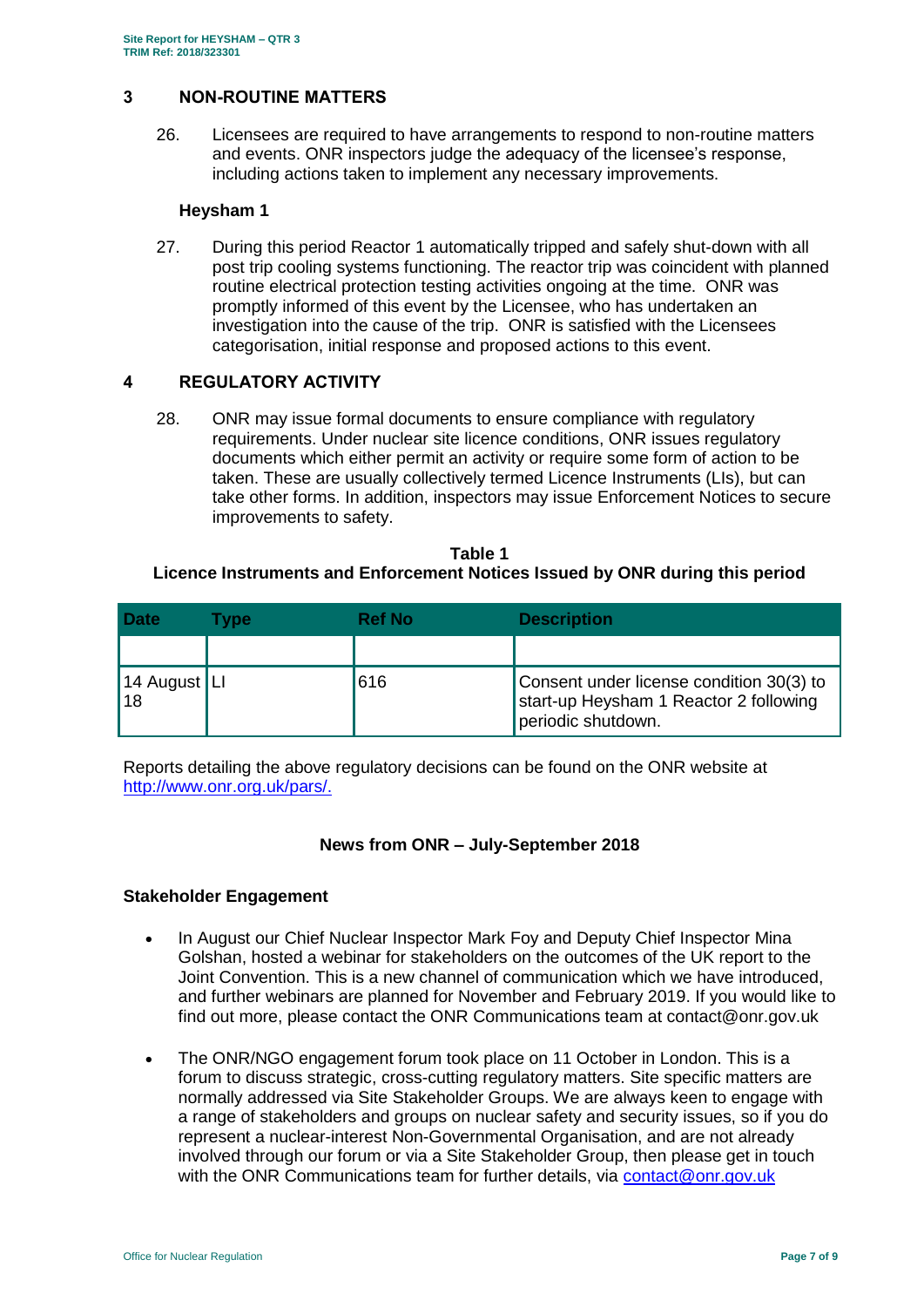# <span id="page-6-0"></span>**3 NON-ROUTINE MATTERS**

26. Licensees are required to have arrangements to respond to non-routine matters and events. ONR inspectors judge the adequacy of the licensee's response, including actions taken to implement any necessary improvements.

#### **Heysham 1**

27. During this period Reactor 1 automatically tripped and safely shut-down with all post trip cooling systems functioning. The reactor trip was coincident with planned routine electrical protection testing activities ongoing at the time. ONR was promptly informed of this event by the Licensee, who has undertaken an investigation into the cause of the trip. ONR is satisfied with the Licensees categorisation, initial response and proposed actions to this event.

# <span id="page-6-1"></span>**4 REGULATORY ACTIVITY**

28. ONR may issue formal documents to ensure compliance with regulatory requirements. Under nuclear site licence conditions, ONR issues regulatory documents which either permit an activity or require some form of action to be taken. These are usually collectively termed Licence Instruments (LIs), but can take other forms. In addition, inspectors may issue Enforcement Notices to secure improvements to safety.

#### **Table 1 Licence Instruments and Enforcement Notices Issued by ONR during this period**

| <b>Date</b>        | <b>Type</b> | <b>Ref No</b> | <b>Description</b>                                                                                       |
|--------------------|-------------|---------------|----------------------------------------------------------------------------------------------------------|
|                    |             |               |                                                                                                          |
| 14 August LI<br>18 |             | 616           | Consent under license condition 30(3) to<br>start-up Heysham 1 Reactor 2 following<br>periodic shutdown. |

Reports detailing the above regulatory decisions can be found on the ONR website at [http://www.onr.org.uk/pars/.](http://www.onr.org.uk/pars/)

# **News from ONR – July-September 2018**

# **Stakeholder Engagement**

- In August our Chief Nuclear Inspector Mark Foy and Deputy Chief Inspector Mina Golshan, hosted a webinar for stakeholders on the outcomes of the UK report to the Joint Convention. This is a new channel of communication which we have introduced, and further webinars are planned for November and February 2019. If you would like to find out more, please contact the ONR Communications team at contact@onr.gov.uk
- The ONR/NGO engagement forum took place on 11 October in London. This is a forum to discuss strategic, cross-cutting regulatory matters. Site specific matters are normally addressed via Site Stakeholder Groups. We are always keen to engage with a range of stakeholders and groups on nuclear safety and security issues, so if you do represent a nuclear-interest Non-Governmental Organisation, and are not already involved through our forum or via a Site Stakeholder Group, then please get in touch with the ONR Communications team for further details, via [contact@onr.gov.uk](mailto:contact@onr.gov.uk)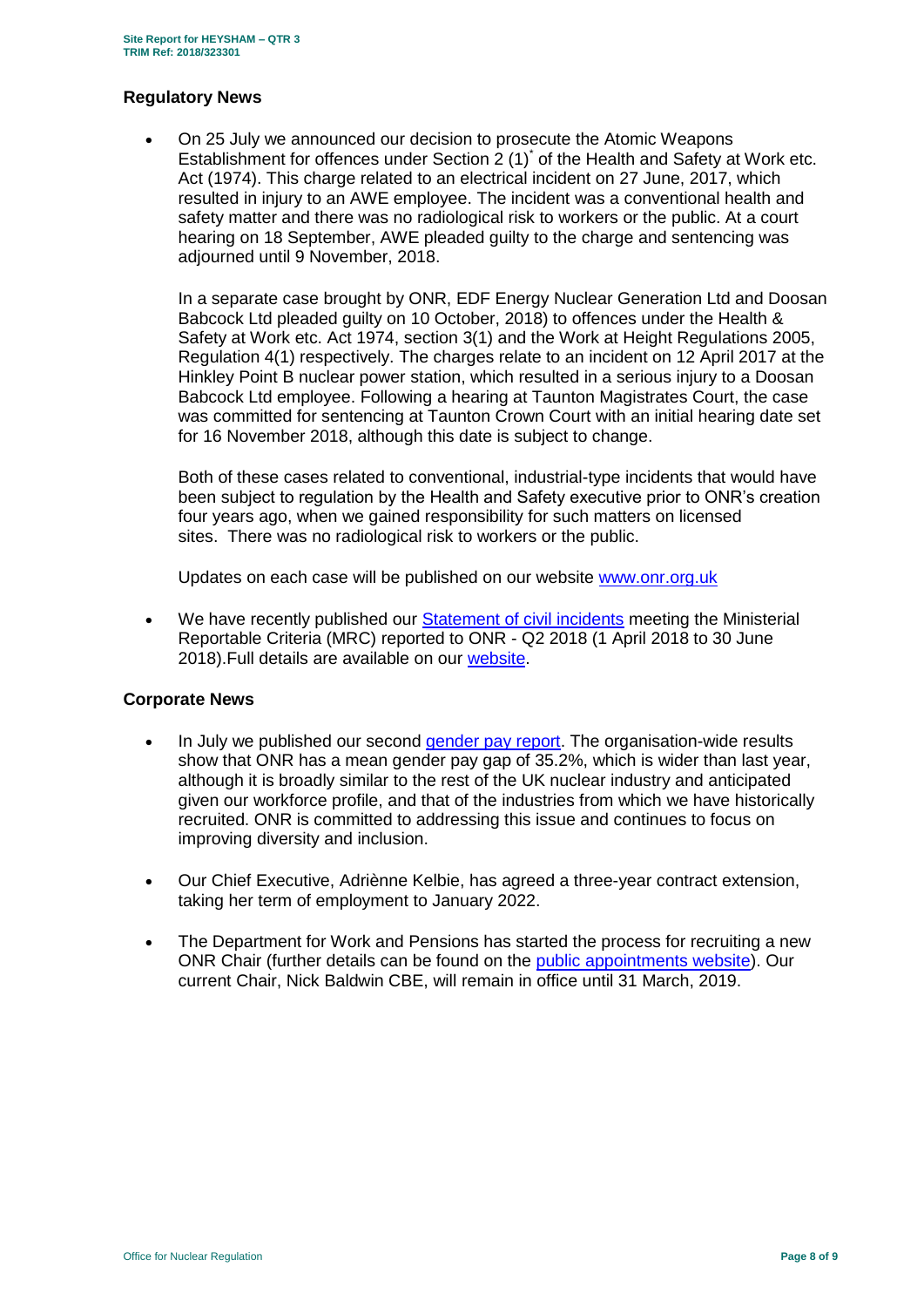#### **Regulatory News**

 On 25 July we announced our decision to prosecute the Atomic Weapons Establishment for offences under Section  $2(1)^{*}$  of the Health and Safety at Work etc. Act (1974). This charge related to an electrical incident on 27 June, 2017, which resulted in injury to an AWE employee. The incident was a conventional health and safety matter and there was no radiological risk to workers or the public. At a court hearing on 18 September, AWE pleaded guilty to the charge and sentencing was adjourned until 9 November, 2018.

In a separate case brought by ONR, EDF Energy Nuclear Generation Ltd and Doosan Babcock Ltd pleaded guilty on 10 October, 2018) to offences under the Health & Safety at Work etc. Act 1974, section 3(1) and the Work at Height Regulations 2005, Regulation 4(1) respectively. The charges relate to an incident on 12 April 2017 at the Hinkley Point B nuclear power station, which resulted in a serious injury to a Doosan Babcock Ltd employee. Following a hearing at Taunton Magistrates Court, the case was committed for sentencing at Taunton Crown Court with an initial hearing date set for 16 November 2018, although this date is subject to change.

Both of these cases related to conventional, industrial-type incidents that would have been subject to regulation by the Health and Safety executive prior to ONR's creation four years ago, when we gained responsibility for such matters on licensed sites. There was no radiological risk to workers or the public.

Updates on each case will be published on our website [www.onr.org.uk](http://www.onr.org.uk/)

We have recently published our [Statement of civil incidents](http://www.onr.org.uk/quarterly-stat/2018-2.htm) meeting the Ministerial Reportable Criteria (MRC) reported to ONR - Q2 2018 (1 April 2018 to 30 June 2018).Full details are available on our [website.](http://www.onr.org.uk/quarterly-stat/2018-2.htm)

# **Corporate News**

- In July we published our second [gender pay report.](http://news.onr.org.uk/2018/07/onr-publishes-second-gender-pay-report/) The organisation-wide results show that ONR has a mean gender pay gap of 35.2%, which is wider than last year, although it is broadly similar to the rest of the UK nuclear industry and anticipated given our workforce profile, and that of the industries from which we have historically recruited. ONR is committed to addressing this issue and continues to focus on improving diversity and inclusion.
- Our Chief Executive, Adriènne Kelbie, has agreed a three-year contract extension, taking her term of employment to January 2022.
- The Department for Work and Pensions has started the process for recruiting a new ONR Chair (further details can be found on the [public appointments website\)](https://publicappointments.cabinetoffice.gov.uk/appointment/chair-the-office-for-nuclear-regulations/). Our current Chair, Nick Baldwin CBE, will remain in office until 31 March, 2019.